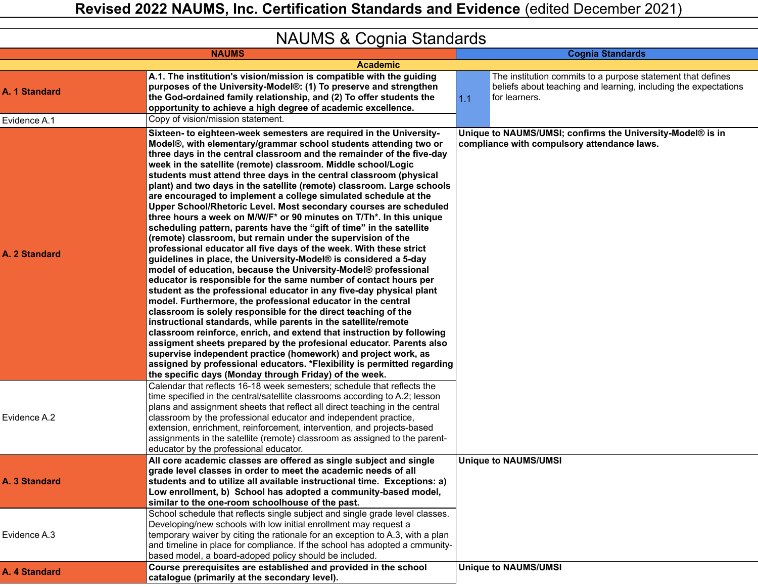|               | $19$ $\sim$ $01$ $\sim$ $0$ $\sim$ $0.0$ $\sim$ $0.01$ $\sim$ $0.01$ $\sim$ $0.01$ $\sim$ $0.01$                                                                                                                                                                                                                                                                                                                                                                                                                                                                                                                                                                                                                                                                                                                                                                                                                                                                                                                                                                                                                                                                                                                                                                                                                                                                                                                                                                                                                                                                                                                                                |     |                                                                                                                                                 |
|---------------|-------------------------------------------------------------------------------------------------------------------------------------------------------------------------------------------------------------------------------------------------------------------------------------------------------------------------------------------------------------------------------------------------------------------------------------------------------------------------------------------------------------------------------------------------------------------------------------------------------------------------------------------------------------------------------------------------------------------------------------------------------------------------------------------------------------------------------------------------------------------------------------------------------------------------------------------------------------------------------------------------------------------------------------------------------------------------------------------------------------------------------------------------------------------------------------------------------------------------------------------------------------------------------------------------------------------------------------------------------------------------------------------------------------------------------------------------------------------------------------------------------------------------------------------------------------------------------------------------------------------------------------------------|-----|-------------------------------------------------------------------------------------------------------------------------------------------------|
|               | <b>NAUMS</b>                                                                                                                                                                                                                                                                                                                                                                                                                                                                                                                                                                                                                                                                                                                                                                                                                                                                                                                                                                                                                                                                                                                                                                                                                                                                                                                                                                                                                                                                                                                                                                                                                                    |     | <b>Cognia Standards</b>                                                                                                                         |
|               | <b>Academic</b>                                                                                                                                                                                                                                                                                                                                                                                                                                                                                                                                                                                                                                                                                                                                                                                                                                                                                                                                                                                                                                                                                                                                                                                                                                                                                                                                                                                                                                                                                                                                                                                                                                 |     |                                                                                                                                                 |
| A. 1 Standard | A.1. The institution's vision/mission is compatible with the guiding<br>purposes of the University-Model®: (1) To preserve and strengthen<br>the God-ordained family relationship, and (2) To offer students the<br>opportunity to achieve a high degree of academic excellence.                                                                                                                                                                                                                                                                                                                                                                                                                                                                                                                                                                                                                                                                                                                                                                                                                                                                                                                                                                                                                                                                                                                                                                                                                                                                                                                                                                | 1.1 | The institution commits to a purpose statement that defines<br>beliefs about teaching and learning, including the expectations<br>for learners. |
| Evidence A.1  | Copy of vision/mission statement.                                                                                                                                                                                                                                                                                                                                                                                                                                                                                                                                                                                                                                                                                                                                                                                                                                                                                                                                                                                                                                                                                                                                                                                                                                                                                                                                                                                                                                                                                                                                                                                                               |     |                                                                                                                                                 |
| A. 2 Standard | Sixteen- to eighteen-week semesters are required in the University-<br>Model®, with elementary/grammar school students attending two or<br>three days in the central classroom and the remainder of the five-day<br>week in the satellite (remote) classroom. Middle school/Logic<br>students must attend three days in the central classroom (physical<br>plant) and two days in the satellite (remote) classroom. Large schools<br>are encouraged to implement a college simulated schedule at the<br>Upper School/Rhetoric Level. Most secondary courses are scheduled<br>three hours a week on M/W/F* or 90 minutes on T/Th*. In this unique<br>scheduling pattern, parents have the "gift of time" in the satellite<br>(remote) classroom, but remain under the supervision of the<br>professional educator all five days of the week. With these strict<br>guidelines in place, the University-Model® is considered a 5-day<br>model of education, because the University-Model® professional<br>educator is responsible for the same number of contact hours per<br>student as the professional educator in any five-day physical plant<br>model. Furthermore, the professional educator in the central<br>classroom is solely responsible for the direct teaching of the<br>instructional standards, while parents in the satellite/remote<br>classroom reinforce, enrich, and extend that instruction by following<br>assigment sheets prepared by the profesional educator. Parents also<br>supervise independent practice (homework) and project work, as<br>assigned by professional educators. *Flexibility is permitted regarding |     | Unique to NAUMS/UMSI; confirms the University-Model® is in<br>compliance with compulsory attendance laws.                                       |
| Evidence A.2  | the specific days (Monday through Friday) of the week.<br>Calendar that reflects 16-18 week semesters; schedule that reflects the<br>time specified in the central/satellite classrooms according to A.2; lesson<br>plans and assignment sheets that reflect all direct teaching in the central<br>classroom by the professional educator and independent practice,<br>extension, enrichment, reinforcement, intervention, and projects-based<br>assignments in the satellite (remote) classroom as assigned to the parent-<br>educator by the professional educator.                                                                                                                                                                                                                                                                                                                                                                                                                                                                                                                                                                                                                                                                                                                                                                                                                                                                                                                                                                                                                                                                           |     |                                                                                                                                                 |
| A. 3 Standard | All core academic classes are offered as single subject and single<br>grade level classes in order to meet the academic needs of all<br>students and to utilize all available instructional time. Exceptions: a)<br>Low enrollment, b) School has adopted a community-based model,<br>similar to the one-room schoolhouse of the past.<br>School schedule that reflects single subject and single grade level classes.                                                                                                                                                                                                                                                                                                                                                                                                                                                                                                                                                                                                                                                                                                                                                                                                                                                                                                                                                                                                                                                                                                                                                                                                                          |     | <b>Unique to NAUMS/UMSI</b>                                                                                                                     |
| Evidence A.3  | Developing/new schools with low initial enrollment may request a<br>temporary waiver by citing the rationale for an exception to A.3, with a plan<br>and timeline in place for compliance. If the school has adopted a cmmunity-<br>based model, a board-adoped policy should be included.                                                                                                                                                                                                                                                                                                                                                                                                                                                                                                                                                                                                                                                                                                                                                                                                                                                                                                                                                                                                                                                                                                                                                                                                                                                                                                                                                      |     |                                                                                                                                                 |
| A. 4 Standard | Course prerequisites are established and provided in the school<br>catalogue (primarily at the secondary level).                                                                                                                                                                                                                                                                                                                                                                                                                                                                                                                                                                                                                                                                                                                                                                                                                                                                                                                                                                                                                                                                                                                                                                                                                                                                                                                                                                                                                                                                                                                                |     | <b>Unique to NAUMS/UMSI</b>                                                                                                                     |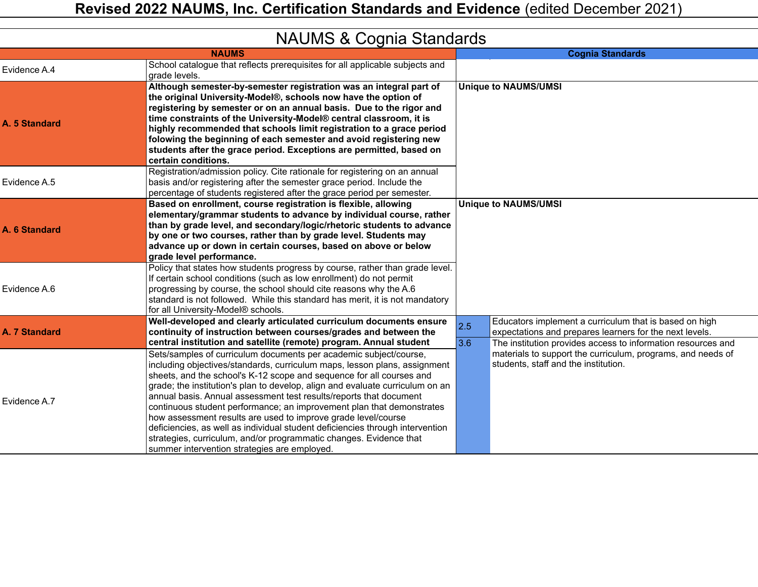|               | $\frac{1}{2}$ $\frac{1}{2}$ .<br><b>NAUMS</b>                                                                                                                                                                                                                                                                                                                                                                                                                                                                                                                                                                                                                                                                                                                                                        |     | <b>Cognia Standards</b>                                                                                                                                             |
|---------------|------------------------------------------------------------------------------------------------------------------------------------------------------------------------------------------------------------------------------------------------------------------------------------------------------------------------------------------------------------------------------------------------------------------------------------------------------------------------------------------------------------------------------------------------------------------------------------------------------------------------------------------------------------------------------------------------------------------------------------------------------------------------------------------------------|-----|---------------------------------------------------------------------------------------------------------------------------------------------------------------------|
| Evidence A.4  | School catalogue that reflects prerequisites for all applicable subjects and<br>grade levels.                                                                                                                                                                                                                                                                                                                                                                                                                                                                                                                                                                                                                                                                                                        |     |                                                                                                                                                                     |
| A. 5 Standard | Although semester-by-semester registration was an integral part of<br>the original University-Model®, schools now have the option of<br>registering by semester or on an annual basis. Due to the rigor and<br>time constraints of the University-Model® central classroom, it is<br>highly recommended that schools limit registration to a grace period<br>folowing the beginning of each semester and avoid registering new<br>students after the grace period. Exceptions are permitted, based on<br>certain conditions.                                                                                                                                                                                                                                                                         |     | <b>Unique to NAUMS/UMSI</b>                                                                                                                                         |
| Evidence A.5  | Registration/admission policy. Cite rationale for registering on an annual<br>basis and/or registering after the semester grace period. Include the<br>percentage of students registered after the grace period per semester.                                                                                                                                                                                                                                                                                                                                                                                                                                                                                                                                                                        |     |                                                                                                                                                                     |
| A. 6 Standard | Based on enrollment, course registration is flexible, allowing<br>elementary/grammar students to advance by individual course, rather<br>than by grade level, and secondary/logic/rhetoric students to advance<br>by one or two courses, rather than by grade level. Students may<br>advance up or down in certain courses, based on above or below<br>grade level performance.                                                                                                                                                                                                                                                                                                                                                                                                                      |     | <b>Unique to NAUMS/UMSI</b>                                                                                                                                         |
| Evidence A.6  | Policy that states how students progress by course, rather than grade level.<br>If certain school conditions (such as low enrollment) do not permit<br>progressing by course, the school should cite reasons why the A.6<br>standard is not followed. While this standard has merit, it is not mandatory<br>for all University-Model® schools.                                                                                                                                                                                                                                                                                                                                                                                                                                                       |     |                                                                                                                                                                     |
| A. 7 Standard | Well-developed and clearly articulated curriculum documents ensure<br>continuity of instruction between courses/grades and between the                                                                                                                                                                                                                                                                                                                                                                                                                                                                                                                                                                                                                                                               | 2.5 | Educators implement a curriculum that is based on high<br>expectations and prepares learners for the next levels.                                                   |
| Evidence A.7  | central institution and satellite (remote) program. Annual student<br>Sets/samples of curriculum documents per academic subject/course,<br>including objectives/standards, curriculum maps, lesson plans, assignment<br>sheets, and the school's K-12 scope and sequence for all courses and<br>grade; the institution's plan to develop, align and evaluate curriculum on an<br>annual basis. Annual assessment test results/reports that document<br>continuous student performance; an improvement plan that demonstrates<br>how assessment results are used to improve grade level/course<br>deficiencies, as well as individual student deficiencies through intervention<br>strategies, curriculum, and/or programmatic changes. Evidence that<br>summer intervention strategies are employed. | 3.6 | The institution provides access to information resources and<br>materials to support the curriculum, programs, and needs of<br>students, staff and the institution. |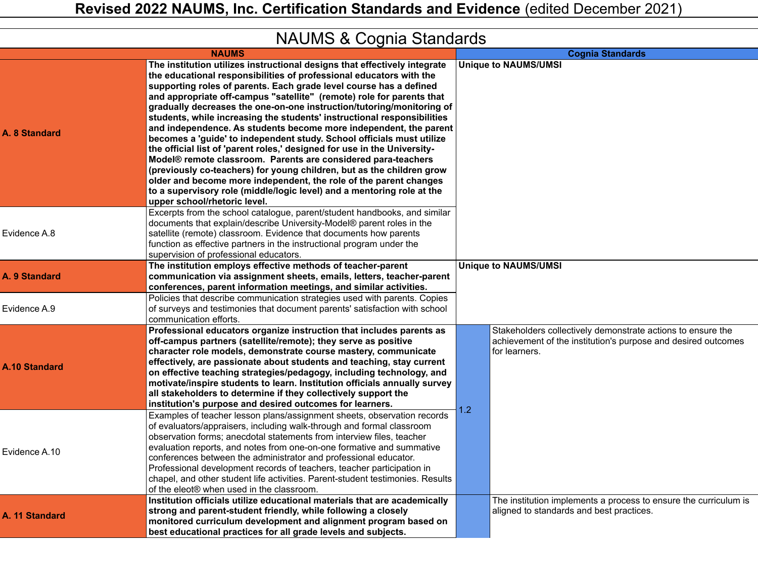| iwww.childreduction.com |                                                                                                                                                                                                                                                                                                                                                                                                                                                                                                                                                                                                                                                                                                                                                                                                                                                                                                                                                                                                        |     |                                                                                                                                               |  |
|-------------------------|--------------------------------------------------------------------------------------------------------------------------------------------------------------------------------------------------------------------------------------------------------------------------------------------------------------------------------------------------------------------------------------------------------------------------------------------------------------------------------------------------------------------------------------------------------------------------------------------------------------------------------------------------------------------------------------------------------------------------------------------------------------------------------------------------------------------------------------------------------------------------------------------------------------------------------------------------------------------------------------------------------|-----|-----------------------------------------------------------------------------------------------------------------------------------------------|--|
|                         | <b>NAUMS</b>                                                                                                                                                                                                                                                                                                                                                                                                                                                                                                                                                                                                                                                                                                                                                                                                                                                                                                                                                                                           |     | <b>Cognia Standards</b>                                                                                                                       |  |
| A. 8 Standard           | The institution utilizes instructional designs that effectively integrate<br>the educational responsibilities of professional educators with the<br>supporting roles of parents. Each grade level course has a defined<br>and appropriate off-campus "satellite" (remote) role for parents that<br>gradually decreases the one-on-one instruction/tutoring/monitoring of<br>students, while increasing the students' instructional responsibilities<br>and independence. As students become more independent, the parent<br>becomes a 'guide' to independent study. School officials must utilize<br>the official list of 'parent roles,' designed for use in the University-<br>Model® remote classroom. Parents are considered para-teachers<br>(previously co-teachers) for young children, but as the children grow<br>older and become more independent, the role of the parent changes<br>to a supervisory role (middle/logic level) and a mentoring role at the<br>upper school/rhetoric level. |     | <b>Unique to NAUMS/UMSI</b>                                                                                                                   |  |
| Evidence A.8            | Excerpts from the school catalogue, parent/student handbooks, and similar<br>documents that explain/describe University-Model® parent roles in the<br>satellite (remote) classroom. Evidence that documents how parents<br>function as effective partners in the instructional program under the<br>supervision of professional educators.                                                                                                                                                                                                                                                                                                                                                                                                                                                                                                                                                                                                                                                             |     |                                                                                                                                               |  |
| A. 9 Standard           | The institution employs effective methods of teacher-parent<br>communication via assignment sheets, emails, letters, teacher-parent<br>conferences, parent information meetings, and similar activities.                                                                                                                                                                                                                                                                                                                                                                                                                                                                                                                                                                                                                                                                                                                                                                                               |     | <b>Unique to NAUMS/UMSI</b>                                                                                                                   |  |
| Evidence A.9            | Policies that describe communication strategies used with parents. Copies<br>of surveys and testimonies that document parents' satisfaction with school<br>communication efforts.                                                                                                                                                                                                                                                                                                                                                                                                                                                                                                                                                                                                                                                                                                                                                                                                                      |     |                                                                                                                                               |  |
| <b>A.10 Standard</b>    | Professional educators organize instruction that includes parents as<br>off-campus partners (satellite/remote); they serve as positive<br>character role models, demonstrate course mastery, communicate<br>effectively, are passionate about students and teaching, stay current<br>on effective teaching strategies/pedagogy, including technology, and<br>motivate/inspire students to learn. Institution officials annually survey<br>all stakeholders to determine if they collectively support the<br>institution's purpose and desired outcomes for learners.<br>Examples of teacher lesson plans/assignment sheets, observation records                                                                                                                                                                                                                                                                                                                                                        | 1.2 | Stakeholders collectively demonstrate actions to ensure the<br>achievement of the institution's purpose and desired outcomes<br>for learners. |  |
| Evidence A.10           | of evaluators/appraisers, including walk-through and formal classroom<br>observation forms: anecdotal statements from interview files, teacher<br>evaluation reports, and notes from one-on-one formative and summative<br>conferences between the administrator and professional educator.<br>Professional development records of teachers, teacher participation in<br>chapel, and other student life activities. Parent-student testimonies. Results<br>of the eleot® when used in the classroom.                                                                                                                                                                                                                                                                                                                                                                                                                                                                                                   |     |                                                                                                                                               |  |
| A. 11 Standard          | Institution officials utilize educational materials that are academically<br>strong and parent-student friendly, while following a closely<br>monitored curriculum development and alignment program based on<br>best educational practices for all grade levels and subjects.                                                                                                                                                                                                                                                                                                                                                                                                                                                                                                                                                                                                                                                                                                                         |     | The institution implements a process to ensure the curriculum is<br>aligned to standards and best practices.                                  |  |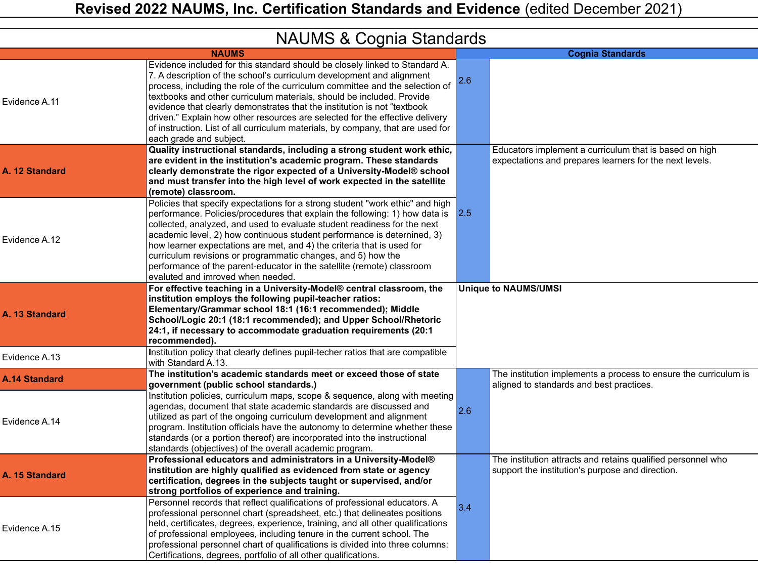|                      | <b>INAUIVIO &amp; CUYTHA OLAHUAIUS</b>                                                                                                                                                                                                                                                                                                                                                                                                                                                                                                                                                   |     |                                                                                                                   |
|----------------------|------------------------------------------------------------------------------------------------------------------------------------------------------------------------------------------------------------------------------------------------------------------------------------------------------------------------------------------------------------------------------------------------------------------------------------------------------------------------------------------------------------------------------------------------------------------------------------------|-----|-------------------------------------------------------------------------------------------------------------------|
|                      | <b>NAUMS</b>                                                                                                                                                                                                                                                                                                                                                                                                                                                                                                                                                                             |     | <b>Cognia Standards</b>                                                                                           |
| Evidence A.11        | Evidence included for this standard should be closely linked to Standard A.<br>7. A description of the school's curriculum development and alignment<br>process, including the role of the curriculum committee and the selection of<br>textbooks and other curriculum materials, should be included. Provide<br>evidence that clearly demonstrates that the institution is not "textbook"<br>driven." Explain how other resources are selected for the effective delivery<br>of instruction. List of all curriculum materials, by company, that are used for<br>each grade and subject. | 2.6 |                                                                                                                   |
| A. 12 Standard       | Quality instructional standards, including a strong student work ethic,<br>are evident in the institution's academic program. These standards<br>clearly demonstrate the rigor expected of a University-Model® school<br>and must transfer into the high level of work expected in the satellite<br>(remote) classroom.                                                                                                                                                                                                                                                                  |     | Educators implement a curriculum that is based on high<br>expectations and prepares learners for the next levels. |
| Evidence A.12        | Policies that specify expectations for a strong student "work ethic" and high<br>performance. Policies/procedures that explain the following: 1) how data is<br>collected, analyzed, and used to evaluate student readiness for the next<br>academic level, 2) how continuous student performance is deternined, 3)<br>how learner expectations are met, and 4) the criteria that is used for<br>curriculum revisions or programmatic changes, and 5) how the<br>performance of the parent-educator in the satellite (remote) classroom<br>evaluted and imroved when needed.             | 2.5 |                                                                                                                   |
| A. 13 Standard       | For effective teaching in a University-Model® central classroom, the<br>institution employs the following pupil-teacher ratios:<br>Elementary/Grammar school 18:1 (16:1 recommended); Middle<br>School/Logic 20:1 (18:1 recommended); and Upper School/Rhetoric<br>24:1, if necessary to accommodate graduation requirements (20:1<br>recommended).                                                                                                                                                                                                                                      |     | <b>Unique to NAUMS/UMSI</b>                                                                                       |
| Evidence A.13        | Institution policy that clearly defines pupil-techer ratios that are compatible<br>with Standard A.13.                                                                                                                                                                                                                                                                                                                                                                                                                                                                                   |     |                                                                                                                   |
| <b>A.14 Standard</b> | The institution's academic standards meet or exceed those of state<br>government (public school standards.)                                                                                                                                                                                                                                                                                                                                                                                                                                                                              |     | The institution implements a process to ensure the curriculum is<br>aligned to standards and best practices.      |
| Evidence A.14        | Institution policies, curriculum maps, scope & sequence, along with meeting<br>agendas, document that state academic standards are discussed and<br>utilized as part of the ongoing curriculum development and alignment<br>program. Institution officials have the autonomy to determine whether these<br>standards (or a portion thereof) are incorporated into the instructional<br>standards (objectives) of the overall academic program.                                                                                                                                           | 2.6 |                                                                                                                   |
| A. 15 Standard       | Professional educators and administrators in a University-Model®<br>institution are highly qualified as evidenced from state or agency<br>certification, degrees in the subjects taught or supervised, and/or<br>strong portfolios of experience and training.                                                                                                                                                                                                                                                                                                                           |     | The institution attracts and retains qualified personnel who<br>support the institution's purpose and direction.  |
| Evidence A.15        | Personnel records that reflect qualifications of professional educators. A<br>professional personnel chart (spreadsheet, etc.) that delineates positions<br>held, certificates, degrees, experience, training, and all other qualifications<br>of professional employees, including tenure in the current school. The<br>professional personnel chart of qualifications is divided into three columns:<br>Certifications, degrees, portfolio of all other qualifications.                                                                                                                | 3.4 |                                                                                                                   |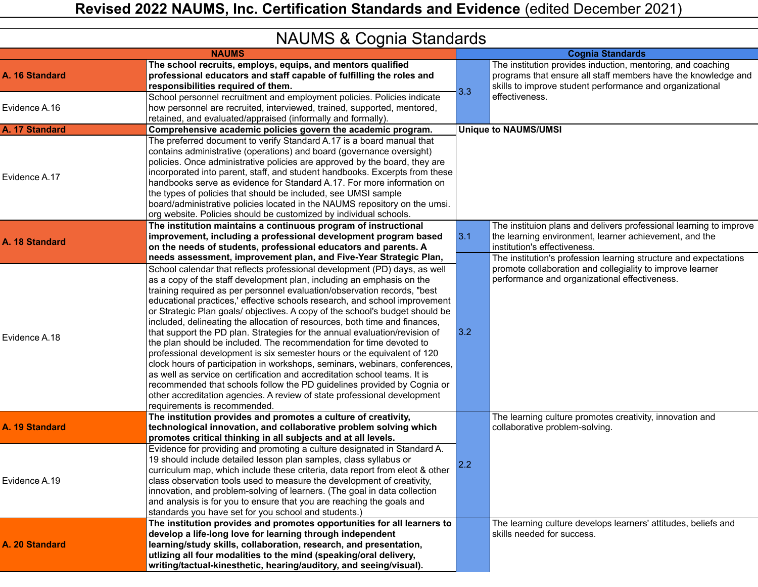|  |  | <b>NAUMS &amp; Cognia Standards</b> |  |
|--|--|-------------------------------------|--|
|--|--|-------------------------------------|--|

|                | <b>INAUINU &amp; OUGHIA UTAHUAI US</b>                                                                                                                                                                                                                                                                                                                                                                                                                                                                                                                                                                                                                                                                                                                                                                                                                                                                                                                                                                                                                        |       |                                                                                                                                                                                                                                  |
|----------------|---------------------------------------------------------------------------------------------------------------------------------------------------------------------------------------------------------------------------------------------------------------------------------------------------------------------------------------------------------------------------------------------------------------------------------------------------------------------------------------------------------------------------------------------------------------------------------------------------------------------------------------------------------------------------------------------------------------------------------------------------------------------------------------------------------------------------------------------------------------------------------------------------------------------------------------------------------------------------------------------------------------------------------------------------------------|-------|----------------------------------------------------------------------------------------------------------------------------------------------------------------------------------------------------------------------------------|
|                | <b>NAUMS</b>                                                                                                                                                                                                                                                                                                                                                                                                                                                                                                                                                                                                                                                                                                                                                                                                                                                                                                                                                                                                                                                  |       | <b>Cognia Standards</b>                                                                                                                                                                                                          |
| A. 16 Standard | The school recruits, employs, equips, and mentors qualified<br>professional educators and staff capable of fulfilling the roles and<br>responsibilities required of them.                                                                                                                                                                                                                                                                                                                                                                                                                                                                                                                                                                                                                                                                                                                                                                                                                                                                                     | 3.3   | The institution provides induction, mentoring, and coaching<br>programs that ensure all staff members have the knowledge and<br>skills to improve student performance and organizational                                         |
| Evidence A.16  | School personnel recruitment and employment policies. Policies indicate<br>how personnel are recruited, interviewed, trained, supported, mentored,<br>retained, and evaluated/appraised (informally and formally).                                                                                                                                                                                                                                                                                                                                                                                                                                                                                                                                                                                                                                                                                                                                                                                                                                            |       | effectiveness.                                                                                                                                                                                                                   |
| A. 17 Standard | Comprehensive academic policies govern the academic program.                                                                                                                                                                                                                                                                                                                                                                                                                                                                                                                                                                                                                                                                                                                                                                                                                                                                                                                                                                                                  |       | <b>Unique to NAUMS/UMSI</b>                                                                                                                                                                                                      |
| Evidence A.17  | The preferred document to verify Standard A.17 is a board manual that<br>contains administrative (operations) and board (governance oversight)<br>policies. Once administrative policies are approved by the board, they are<br>incorporated into parent, staff, and student handbooks. Excerpts from these<br>handbooks serve as evidence for Standard A.17. For more information on<br>the types of policies that should be included, see UMSI sample<br>board/administrative policies located in the NAUMS repository on the umsi.<br>org website. Policies should be customized by individual schools.                                                                                                                                                                                                                                                                                                                                                                                                                                                    |       |                                                                                                                                                                                                                                  |
| A. 18 Standard | The institution maintains a continuous program of instructional<br>improvement, including a professional development program based<br>on the needs of students, professional educators and parents. A<br>needs assessment, improvement plan, and Five-Year Strategic Plan,                                                                                                                                                                                                                                                                                                                                                                                                                                                                                                                                                                                                                                                                                                                                                                                    | 3.1   | The instituion plans and delivers professional learning to improve<br>the learning environment, learner achievement, and the<br>institution's effectiveness.<br>The institution's profession learning structure and expectations |
| Evidence A.18  | School calendar that reflects professional development (PD) days, as well<br>as a copy of the staff development plan, including an emphasis on the<br>training required as per personnel evaluation/observation records, "best<br>educational practices,' effective schools research, and school improvement<br>or Strategic Plan goals/ objectives. A copy of the school's budget should be<br>included, delineating the allocation of resources, both time and finances,<br>that support the PD plan. Strategies for the annual evaluation/revision of<br>the plan should be included. The recommendation for time devoted to<br>professional development is six semester hours or the equivalent of 120<br>clock hours of participation in workshops, seminars, webinars, conferences,<br>as well as service on certification and accreditation school teams. It is<br>recommended that schools follow the PD guidelines provided by Cognia or<br>other accreditation agencies. A review of state professional development<br>requirements is recommended. | $3.2$ | promote collaboration and collegiality to improve learner<br>performance and organizational effectiveness.                                                                                                                       |
| A. 19 Standard | The institution provides and promotes a culture of creativity,<br>technological innovation, and collaborative problem solving which<br>promotes critical thinking in all subjects and at all levels.                                                                                                                                                                                                                                                                                                                                                                                                                                                                                                                                                                                                                                                                                                                                                                                                                                                          |       | The learning culture promotes creativity, innovation and<br>collaborative problem-solving.                                                                                                                                       |
| Evidence A.19  | Evidence for providing and promoting a culture designated in Standard A.<br>19 should include detailed lesson plan samples, class syllabus or<br>curriculum map, which include these criteria, data report from eleot & other<br>class observation tools used to measure the development of creativity,<br>innovation, and problem-solving of learners. (The goal in data collection<br>and analysis is for you to ensure that you are reaching the goals and<br>standards you have set for you school and students.)                                                                                                                                                                                                                                                                                                                                                                                                                                                                                                                                         | 2.2   |                                                                                                                                                                                                                                  |
| A. 20 Standard | The institution provides and promotes opportunities for all learners to<br>develop a life-long love for learning through independent<br>learning/study skills, collaboration, research, and presentation,<br>utlizing all four modalities to the mind (speaking/oral delivery,<br>writing/tactual-kinesthetic, hearing/auditory, and seeing/visual).                                                                                                                                                                                                                                                                                                                                                                                                                                                                                                                                                                                                                                                                                                          |       | The learning culture develops learners' attitudes, beliefs and<br>skills needed for success.                                                                                                                                     |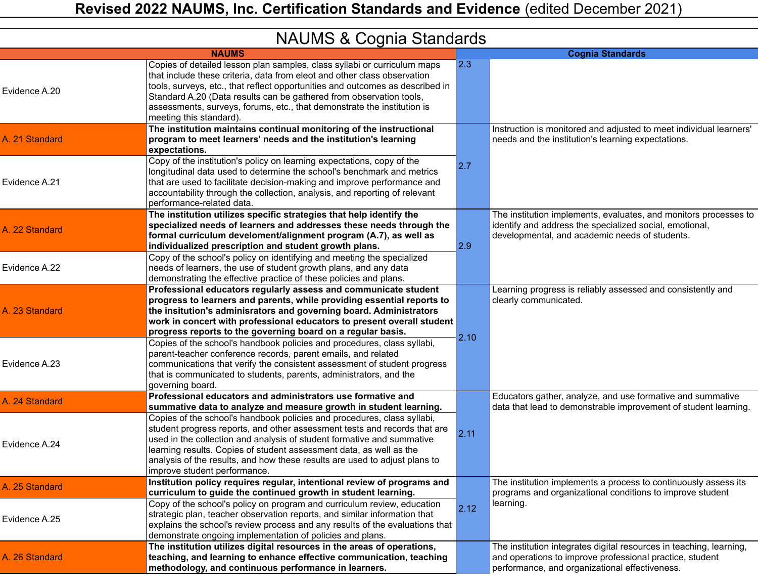| <b>NAUMO &amp; COGNIC STANDARY</b> |                                                                                                                                                                                                                                                                                                                                                                                                                     |      |                                                                                                                                                                                   |  |
|------------------------------------|---------------------------------------------------------------------------------------------------------------------------------------------------------------------------------------------------------------------------------------------------------------------------------------------------------------------------------------------------------------------------------------------------------------------|------|-----------------------------------------------------------------------------------------------------------------------------------------------------------------------------------|--|
|                                    | <b>NAUMS</b>                                                                                                                                                                                                                                                                                                                                                                                                        |      | <b>Cognia Standards</b>                                                                                                                                                           |  |
| Evidence A.20                      | Copies of detailed lesson plan samples, class syllabi or curriculum maps<br>that include these criteria, data from eleot and other class observation<br>tools, surveys, etc., that reflect opportunities and outcomes as described in<br>Standard A.20 (Data results can be gathered from observation tools,<br>assessments, surveys, forums, etc., that demonstrate the institution is<br>meeting this standard).  | 2.3  |                                                                                                                                                                                   |  |
| A. 21 Standard                     | The institution maintains continual monitoring of the instructional<br>program to meet learners' needs and the institution's learning<br>expectations.                                                                                                                                                                                                                                                              |      | Instruction is monitored and adjusted to meet individual learners'<br>needs and the institution's learning expectations.                                                          |  |
| Evidence A.21                      | Copy of the institution's policy on learning expectations, copy of the<br>longitudinal data used to determine the school's benchmark and metrics<br>that are used to facilitate decision-making and improve performance and<br>accountability through the collection, analysis, and reporting of relevant<br>performance-related data.                                                                              | 2.7  |                                                                                                                                                                                   |  |
| A. 22 Standard                     | The institution utilizes specific strategies that help identify the<br>specialized needs of learners and addresses these needs through the<br>formal curriculum develoment/alignment program (A.7), as well as<br>individualized prescription and student growth plans.                                                                                                                                             | 2.9  | The institution implements, evaluates, and monitors processes to<br>identify and address the specialized social, emotional,<br>developmental, and academic needs of students.     |  |
| Evidence A.22                      | Copy of the school's policy on identifying and meeting the specialized<br>needs of learners, the use of student growth plans, and any data<br>demonstrating the effective practice of these policies and plans.                                                                                                                                                                                                     |      |                                                                                                                                                                                   |  |
| A. 23 Standard                     | Professional educators regularly assess and communicate student<br>progress to learners and parents, while providing essential reports to<br>the insitution's adminisrators and governing board. Administrators<br>work in concert with professional educators to present overall student<br>progress reports to the governing board on a regular basis.                                                            |      | Learning progress is reliably assessed and consistently and<br>clearly communicated.                                                                                              |  |
| Evidence A.23                      | Copies of the school's handbook policies and procedures, class syllabi,<br>parent-teacher conference records, parent emails, and related<br>communications that verify the consistent assessment of student progress<br>that is communicated to students, parents, administrators, and the<br>governing board.                                                                                                      | 2.10 |                                                                                                                                                                                   |  |
| A. 24 Standard                     | Professional educators and administrators use formative and<br>summative data to analyze and measure growth in student learning.                                                                                                                                                                                                                                                                                    |      | Educators gather, analyze, and use formative and summative<br>data that lead to demonstrable improvement of student learning.                                                     |  |
| Evidence A.24                      | Copies of the school's handbook policies and procedures, class syllabi,<br>student progress reports, and other assessment tests and records that are<br>used in the collection and analysis of student formative and summative<br>learning results. Copies of student assessment data, as well as the<br>analysis of the results, and how these results are used to adjust plans to<br>improve student performance. | 2.11 |                                                                                                                                                                                   |  |
| A. 25 Standard                     | Institution policy requires regular, intentional review of programs and<br>curriculum to guide the continued growth in student learning.                                                                                                                                                                                                                                                                            |      | The institution implements a process to continuously assess its<br>programs and organizational conditions to improve student                                                      |  |
| Evidence A.25                      | Copy of the school's policy on program and curriculum review, education<br>strategic plan, teacher observation reports, and similar information that<br>explains the school's review process and any results of the evaluations that<br>demonstrate ongoing implementation of policies and plans.                                                                                                                   | 2.12 | learning.                                                                                                                                                                         |  |
| A. 26 Standard                     | The institution utilizes digital resources in the areas of operations,<br>teaching, and learning to enhance effective communication, teaching<br>methodology, and continuous performance in learners.                                                                                                                                                                                                               |      | The institution integrates digital resources in teaching, learning,<br>and operations to improve professional practice, student<br>performance, and organizational effectiveness. |  |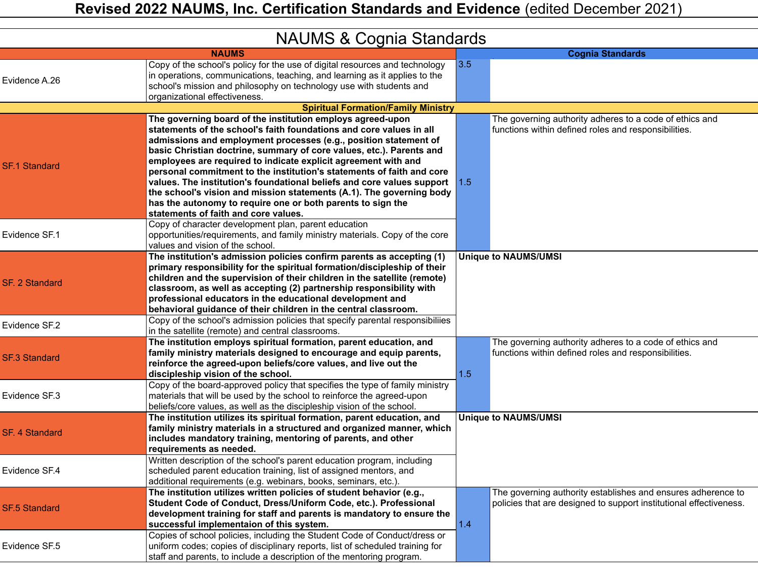|  |  |  | <b>NAUMS &amp; Cognia Standards</b> |
|--|--|--|-------------------------------------|
|--|--|--|-------------------------------------|

|                       | <b>INAUIVIO &amp; CUGHIA OldHUAIUS</b>                                                                                                                                                                                                                                                                                                                                                                                                                                                                                                                                                                                                                                                |     |                                                                                                                                    |
|-----------------------|---------------------------------------------------------------------------------------------------------------------------------------------------------------------------------------------------------------------------------------------------------------------------------------------------------------------------------------------------------------------------------------------------------------------------------------------------------------------------------------------------------------------------------------------------------------------------------------------------------------------------------------------------------------------------------------|-----|------------------------------------------------------------------------------------------------------------------------------------|
|                       | <b>NAUMS</b>                                                                                                                                                                                                                                                                                                                                                                                                                                                                                                                                                                                                                                                                          |     | <b>Cognia Standards</b>                                                                                                            |
| Evidence A.26         | Copy of the school's policy for the use of digital resources and technology<br>in operations, communications, teaching, and learning as it applies to the<br>school's mission and philosophy on technology use with students and<br>organizational effectiveness.                                                                                                                                                                                                                                                                                                                                                                                                                     | 3.5 |                                                                                                                                    |
|                       | <b>Spiritual Formation/Family Ministry</b>                                                                                                                                                                                                                                                                                                                                                                                                                                                                                                                                                                                                                                            |     |                                                                                                                                    |
| <b>SF.1 Standard</b>  | The governing board of the institution employs agreed-upon<br>statements of the school's faith foundations and core values in all<br>admissions and employment processes (e.g., position statement of<br>basic Christian doctrine, summary of core values, etc.). Parents and<br>employees are required to indicate explicit agreement with and<br>personal commitment to the institution's statements of faith and core<br>values. The institution's foundational beliefs and core values support 1.5<br>the school's vision and mission statements (A.1). The governing body<br>has the autonomy to require one or both parents to sign the<br>statements of faith and core values. |     | The governing authority adheres to a code of ethics and<br>functions within defined roles and responsibilities.                    |
| Evidence SF.1         | Copy of character development plan, parent education<br>opportunities/requirements, and family ministry materials. Copy of the core<br>values and vision of the school.                                                                                                                                                                                                                                                                                                                                                                                                                                                                                                               |     |                                                                                                                                    |
| <b>SF. 2 Standard</b> | The institution's admission policies confirm parents as accepting (1)<br>primary responsibility for the spiritual formation/discipleship of their<br>children and the supervision of their children in the satellite (remote)<br>classroom, as well as accepting (2) partnership responsibility with<br>professional educators in the educational development and<br>behavioral guidance of their children in the central classroom.                                                                                                                                                                                                                                                  |     | <b>Unique to NAUMS/UMSI</b>                                                                                                        |
| Evidence SF.2         | Copy of the school's admission policies that specify parental responsibiliies<br>in the satellite (remote) and central classrooms.                                                                                                                                                                                                                                                                                                                                                                                                                                                                                                                                                    |     |                                                                                                                                    |
| <b>SF.3 Standard</b>  | The institution employs spiritual formation, parent education, and<br>family ministry materials designed to encourage and equip parents,<br>reinforce the agreed-upon beliefs/core values, and live out the<br>discipleship vision of the school.                                                                                                                                                                                                                                                                                                                                                                                                                                     | 1.5 | The governing authority adheres to a code of ethics and<br>functions within defined roles and responsibilities.                    |
| Evidence SF.3         | Copy of the board-approved policy that specifies the type of family ministry<br>materials that will be used by the school to reinforce the agreed-upon<br>beliefs/core values, as well as the discipleship vision of the school.                                                                                                                                                                                                                                                                                                                                                                                                                                                      |     |                                                                                                                                    |
| <b>SF. 4 Standard</b> | The institution utilizes its spiritual formation, parent education, and<br>family ministry materials in a structured and organized manner, which<br>includes mandatory training, mentoring of parents, and other<br>requirements as needed.                                                                                                                                                                                                                                                                                                                                                                                                                                           |     | <b>Unique to NAUMS/UMSI</b>                                                                                                        |
| Evidence SF.4         | Written description of the school's parent education program, including<br>scheduled parent education training, list of assigned mentors, and<br>additional requirements (e.g. webinars, books, seminars, etc.).                                                                                                                                                                                                                                                                                                                                                                                                                                                                      |     |                                                                                                                                    |
| <b>SF.5 Standard</b>  | The institution utilizes written policies of student behavior (e.g.,<br>Student Code of Conduct, Dress/Uniform Code, etc.). Professional<br>development training for staff and parents is mandatory to ensure the<br>successful implementaion of this system.                                                                                                                                                                                                                                                                                                                                                                                                                         | 1.4 | The governing authority establishes and ensures adherence to<br>policies that are designed to support institutional effectiveness. |
| Evidence SF.5         | Copies of school policies, including the Student Code of Conduct/dress or<br>uniform codes; copies of disciplinary reports, list of scheduled training for<br>staff and parents, to include a description of the mentoring program.                                                                                                                                                                                                                                                                                                                                                                                                                                                   |     |                                                                                                                                    |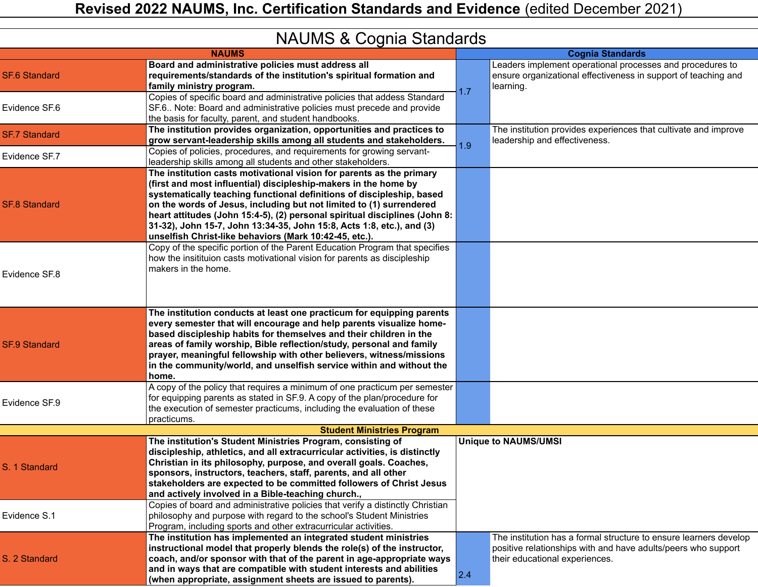|                      | <b>INAUIVIO &amp; CUGHIA OldHUAIUS</b>                                                                                                                                                                                                                                                                                                                                                                                                                                                                   |     |                                                                                                                                                                      |
|----------------------|----------------------------------------------------------------------------------------------------------------------------------------------------------------------------------------------------------------------------------------------------------------------------------------------------------------------------------------------------------------------------------------------------------------------------------------------------------------------------------------------------------|-----|----------------------------------------------------------------------------------------------------------------------------------------------------------------------|
|                      | <b>NAUMS</b>                                                                                                                                                                                                                                                                                                                                                                                                                                                                                             |     | <b>Cognia Standards</b>                                                                                                                                              |
| <b>SF.6 Standard</b> | Board and administrative policies must address all<br>requirements/standards of the institution's spiritual formation and<br>family ministry program.                                                                                                                                                                                                                                                                                                                                                    | 1.7 | Leaders implement operational processes and procedures to<br>ensure organizational effectiveness in support of teaching and<br>learning.                             |
| Evidence SF.6        | Copies of specific board and administrative policies that addess Standard<br>SF.6 Note: Board and administrative policies must precede and provide<br>the basis for faculty, parent, and student handbooks.                                                                                                                                                                                                                                                                                              |     |                                                                                                                                                                      |
| <b>SF.7 Standard</b> | The institution provides organization, opportunities and practices to<br>grow servant-leadership skills among all students and stakeholders.                                                                                                                                                                                                                                                                                                                                                             | 1.9 | The institution provides experiences that cultivate and improve<br>leadership and effectiveness.                                                                     |
| Evidence SF.7        | Copies of policies, procedures, and requirements for growing servant-<br>leadership skills among all students and other stakeholders.                                                                                                                                                                                                                                                                                                                                                                    |     |                                                                                                                                                                      |
| <b>SF.8 Standard</b> | The institution casts motivational vision for parents as the primary<br>(first and most influential) discipleship-makers in the home by<br>systematically teaching functional definitions of discipleship, based<br>on the words of Jesus, including but not limited to (1) surrendered<br>heart attitudes (John 15:4-5), (2) personal spiritual disciplines (John 8:<br>31-32), John 15-7, John 13:34-35, John 15:8, Acts 1:8, etc.), and (3)<br>unselfish Christ-like behaviors (Mark 10:42-45, etc.). |     |                                                                                                                                                                      |
| Evidence SF.8        | Copy of the specific portion of the Parent Education Program that specifies<br>how the insitituion casts motivational vision for parents as discipleship<br>makers in the home.                                                                                                                                                                                                                                                                                                                          |     |                                                                                                                                                                      |
| <b>SF.9 Standard</b> | The institution conducts at least one practicum for equipping parents<br>every semester that will encourage and help parents visualize home-<br>based discipleship habits for themselves and their children in the<br>areas of family worship, Bible reflection/study, personal and family<br>prayer, meaningful fellowship with other believers, witness/missions<br>in the community/world, and unselfish service within and without the<br>home.                                                      |     |                                                                                                                                                                      |
| Evidence SF.9        | A copy of the policy that requires a minimum of one practicum per semester<br>for equipping parents as stated in SF.9. A copy of the plan/procedure for<br>the execution of semester practicums, including the evaluation of these<br>practicums.                                                                                                                                                                                                                                                        |     |                                                                                                                                                                      |
|                      | <b>Student Ministries Program</b>                                                                                                                                                                                                                                                                                                                                                                                                                                                                        |     |                                                                                                                                                                      |
| S. 1 Standard        | The institution's Student Ministries Program, consisting of<br>discipleship, athletics, and all extracurricular activities, is distinctly<br>Christian in its philosophy, purpose, and overall goals. Coaches,<br>sponsors, instructors, teachers, staff, parents, and all other<br>stakeholders are expected to be committed followers of Christ Jesus<br>and actively involved in a Bible-teaching church.,                                                                                            |     | <b>Unique to NAUMS/UMSI</b>                                                                                                                                          |
| Evidence S.1         | Copies of board and administrative policies that verify a distinctly Christian<br>philosophy and purpose with regard to the school's Student Ministries<br>Program, including sports and other extracurricular activities.                                                                                                                                                                                                                                                                               |     |                                                                                                                                                                      |
| S. 2 Standard        | The institution has implemented an integrated student ministries<br>instructional model that properly blends the role(s) of the instructor,<br>coach, and/or sponsor with that of the parent in age-appropriate ways<br>and in ways that are compatible with student interests and abilities<br>(when appropriate, assignment sheets are issued to parents).                                                                                                                                             | 2.4 | The institution has a formal structure to ensure learners develop<br>positive relationships with and have adults/peers who support<br>their educational experiences. |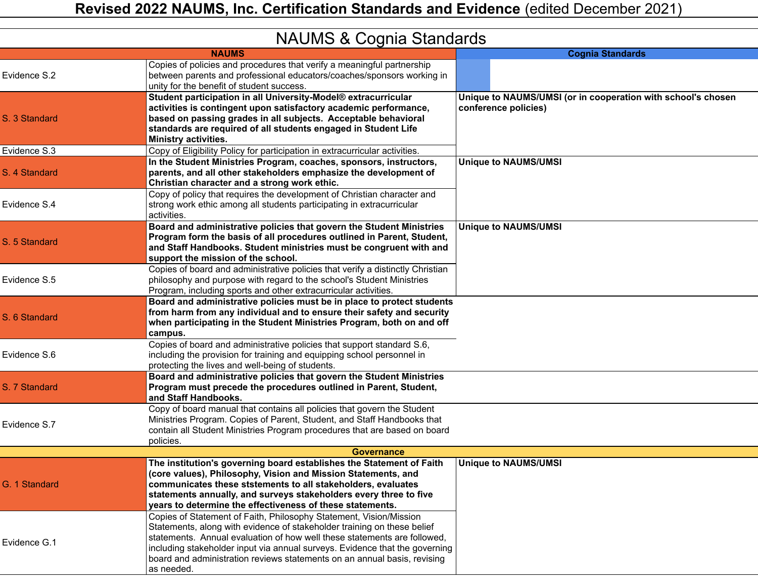|               | <b>INAUIVIO &amp; COGITIA STATIUALUS</b>                                                                                                                                                                                                                                                                                                                                                           |                                                                                      |
|---------------|----------------------------------------------------------------------------------------------------------------------------------------------------------------------------------------------------------------------------------------------------------------------------------------------------------------------------------------------------------------------------------------------------|--------------------------------------------------------------------------------------|
|               | <b>NAUMS</b>                                                                                                                                                                                                                                                                                                                                                                                       | <b>Cognia Standards</b>                                                              |
| Evidence S.2  | Copies of policies and procedures that verify a meaningful partnership<br>between parents and professional educators/coaches/sponsors working in<br>unity for the benefit of student success.                                                                                                                                                                                                      |                                                                                      |
| S. 3 Standard | Student participation in all University-Model® extracurricular<br>activities is contingent upon satisfactory academic performance,<br>based on passing grades in all subjects. Acceptable behavioral<br>standards are required of all students engaged in Student Life<br>Ministry activities.                                                                                                     | Unique to NAUMS/UMSI (or in cooperation with school's chosen<br>conference policies) |
| Evidence S.3  | Copy of Eligibility Policy for participation in extracurricular activities.                                                                                                                                                                                                                                                                                                                        |                                                                                      |
| S. 4 Standard | In the Student Ministries Program, coaches, sponsors, instructors,<br>parents, and all other stakeholders emphasize the development of<br>Christian character and a strong work ethic.                                                                                                                                                                                                             | <b>Unique to NAUMS/UMSI</b>                                                          |
| Evidence S.4  | Copy of policy that requires the development of Christian character and<br>strong work ethic among all students participating in extracurricular<br>activities.                                                                                                                                                                                                                                    |                                                                                      |
| S. 5 Standard | Board and administrative policies that govern the Student Ministries<br>Program form the basis of all procedures outlined in Parent, Student,<br>and Staff Handbooks. Student ministries must be congruent with and<br>support the mission of the school.                                                                                                                                          | <b>Unique to NAUMS/UMSI</b>                                                          |
| Evidence S.5  | Copies of board and administrative policies that verify a distinctly Christian<br>philosophy and purpose with regard to the school's Student Ministries<br>Program, including sports and other extracurricular activities.                                                                                                                                                                         |                                                                                      |
| S. 6 Standard | Board and administrative policies must be in place to protect students<br>from harm from any individual and to ensure their safety and security<br>when participating in the Student Ministries Program, both on and off<br>campus.                                                                                                                                                                |                                                                                      |
| Evidence S.6  | Copies of board and administrative policies that support standard S.6,<br>including the provision for training and equipping school personnel in<br>protecting the lives and well-being of students.                                                                                                                                                                                               |                                                                                      |
| S. 7 Standard | Board and administrative policies that govern the Student Ministries<br>Program must precede the procedures outlined in Parent, Student,<br>and Staff Handbooks.                                                                                                                                                                                                                                   |                                                                                      |
| Evidence S.7  | Copy of board manual that contains all policies that govern the Student<br>Ministries Program. Copies of Parent, Student, and Staff Handbooks that<br>contain all Student Ministries Program procedures that are based on board<br>policies.                                                                                                                                                       |                                                                                      |
|               | <b>Governance</b>                                                                                                                                                                                                                                                                                                                                                                                  |                                                                                      |
| G. 1 Standard | The institution's governing board establishes the Statement of Faith<br>(core values), Philosophy, Vision and Mission Statements, and<br>communicates these ststements to all stakeholders, evaluates<br>statements annually, and surveys stakeholders every three to five<br>vears to determine the effectiveness of these statements.                                                            | <b>Unique to NAUMS/UMSI</b>                                                          |
| Evidence G.1  | Copies of Statement of Faith, Philosophy Statement, Vision/Mission<br>Statements, along with evidence of stakeholder training on these belief<br>statements. Annual evaluation of how well these statements are followed,<br>including stakeholder input via annual surveys. Evidence that the governing<br>board and administration reviews statements on an annual basis, revising<br>as needed. |                                                                                      |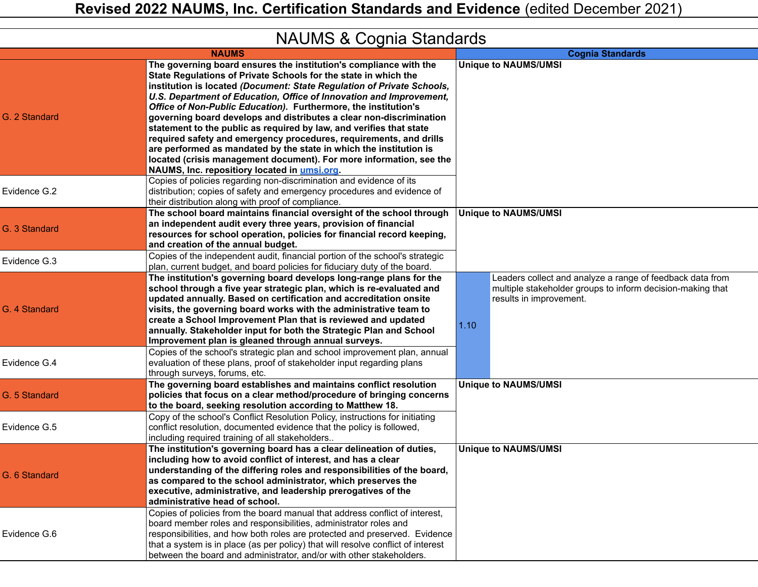|  |  | <b>NAUMS &amp; Cognia Standards</b> |  |
|--|--|-------------------------------------|--|
|--|--|-------------------------------------|--|

| <b>INAUIVIO &amp; CUYTHA OldHUAIUS</b> |                                                                                                                                                                                                                                                                                                                                                                                                                                                                                                                                                                                                                                                                                                                                                                                                                                                  |                                                                                                                                                            |  |
|----------------------------------------|--------------------------------------------------------------------------------------------------------------------------------------------------------------------------------------------------------------------------------------------------------------------------------------------------------------------------------------------------------------------------------------------------------------------------------------------------------------------------------------------------------------------------------------------------------------------------------------------------------------------------------------------------------------------------------------------------------------------------------------------------------------------------------------------------------------------------------------------------|------------------------------------------------------------------------------------------------------------------------------------------------------------|--|
|                                        | <b>NAUMS</b>                                                                                                                                                                                                                                                                                                                                                                                                                                                                                                                                                                                                                                                                                                                                                                                                                                     | <b>Cognia Standards</b>                                                                                                                                    |  |
| G. 2 Standard                          | The governing board ensures the institution's compliance with the<br>State Regulations of Private Schools for the state in which the<br>institution is located (Document: State Regulation of Private Schools,<br>U.S. Department of Education, Office of Innovation and Improvement,<br>Office of Non-Public Education). Furthermore, the institution's<br>governing board develops and distributes a clear non-discrimination<br>statement to the public as required by law, and verifies that state<br>required safety and emergency procedures, requirements, and drills<br>are performed as mandated by the state in which the institution is<br>located (crisis management document). For more information, see the<br>NAUMS, Inc. repositiory located in umsi.org.<br>Copies of policies regarding non-discrimination and evidence of its | <b>Unique to NAUMS/UMSI</b>                                                                                                                                |  |
| Evidence G.2                           | distribution; copies of safety and emergency procedures and evidence of<br>their distribution along with proof of compliance.                                                                                                                                                                                                                                                                                                                                                                                                                                                                                                                                                                                                                                                                                                                    |                                                                                                                                                            |  |
| G. 3 Standard                          | The school board maintains financial oversight of the school through<br>an independent audit every three years, provision of financial<br>resources for school operation, policies for financial record keeping,<br>and creation of the annual budget.                                                                                                                                                                                                                                                                                                                                                                                                                                                                                                                                                                                           | <b>Unique to NAUMS/UMSI</b>                                                                                                                                |  |
| Evidence G.3                           | Copies of the independent audit, financial portion of the school's strategic<br>plan, current budget, and board policies for fiduciary duty of the board.                                                                                                                                                                                                                                                                                                                                                                                                                                                                                                                                                                                                                                                                                        |                                                                                                                                                            |  |
| G. 4 Standard                          | The institution's governing board develops long-range plans for the<br>school through a five year strategic plan, which is re-evaluated and<br>updated annually. Based on certification and accreditation onsite<br>visits, the governing board works with the administrative team to<br>create a School Improvement Plan that is reviewed and updated<br>annually. Stakeholder input for both the Strategic Plan and School<br>Improvement plan is gleaned through annual surveys.<br>Copies of the school's strategic plan and school improvement plan, annual                                                                                                                                                                                                                                                                                 | Leaders collect and analyze a range of feedback data from<br>multiple stakeholder groups to inform decision-making that<br>results in improvement.<br>1.10 |  |
| Evidence G.4                           | evaluation of these plans, proof of stakeholder input regarding plans<br>through surveys, forums, etc.                                                                                                                                                                                                                                                                                                                                                                                                                                                                                                                                                                                                                                                                                                                                           |                                                                                                                                                            |  |
| G. 5 Standard                          | The governing board establishes and maintains conflict resolution<br>policies that focus on a clear method/procedure of bringing concerns<br>to the board, seeking resolution according to Matthew 18.                                                                                                                                                                                                                                                                                                                                                                                                                                                                                                                                                                                                                                           | <b>Unique to NAUMS/UMSI</b>                                                                                                                                |  |
| Evidence G.5                           | Copy of the school's Conflict Resolution Policy, instructions for initiating<br>conflict resolution, documented evidence that the policy is followed,<br>including required training of all stakeholders                                                                                                                                                                                                                                                                                                                                                                                                                                                                                                                                                                                                                                         |                                                                                                                                                            |  |
| G. 6 Standard                          | The institution's governing board has a clear delineation of duties,<br>including how to avoid conflict of interest, and has a clear<br>understanding of the differing roles and responsibilities of the board,<br>as compared to the school administrator, which preserves the<br>executive, administrative, and leadership prerogatives of the<br>administrative head of school.                                                                                                                                                                                                                                                                                                                                                                                                                                                               | <b>Unique to NAUMS/UMSI</b>                                                                                                                                |  |
| Evidence G.6                           | Copies of policies from the board manual that address conflict of interest,<br>board member roles and responsibilities, administrator roles and<br>responsibilities, and how both roles are protected and preserved. Evidence<br>that a system is in place (as per policy) that will resolve conflict of interest<br>between the board and administrator, and/or with other stakeholders.                                                                                                                                                                                                                                                                                                                                                                                                                                                        |                                                                                                                                                            |  |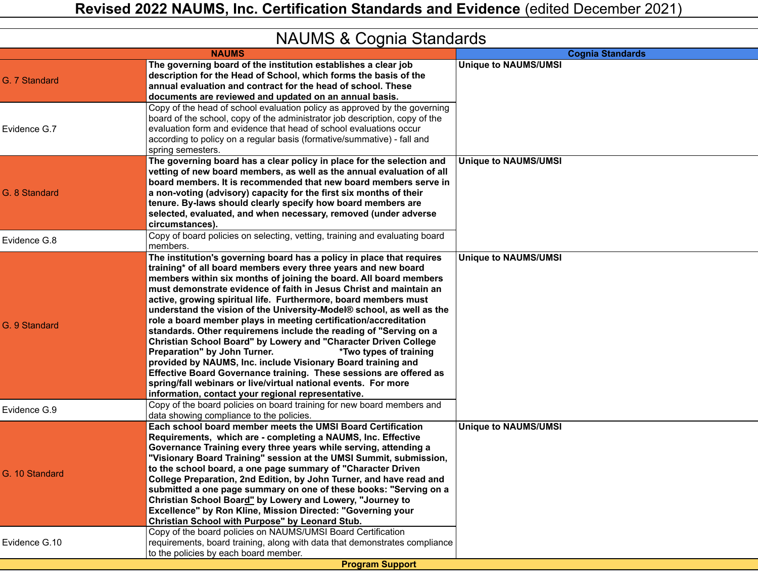| <b>INAUIVIO &amp; CUGITIA STATIUATUS</b> |                                                                                                                                                                                                                                                                                                                                                                                                                                                                                                                                                                                                                                                                                                                                                                                                                                                                                                                                                                                                                                              |                             |  |
|------------------------------------------|----------------------------------------------------------------------------------------------------------------------------------------------------------------------------------------------------------------------------------------------------------------------------------------------------------------------------------------------------------------------------------------------------------------------------------------------------------------------------------------------------------------------------------------------------------------------------------------------------------------------------------------------------------------------------------------------------------------------------------------------------------------------------------------------------------------------------------------------------------------------------------------------------------------------------------------------------------------------------------------------------------------------------------------------|-----------------------------|--|
|                                          | <b>NAUMS</b>                                                                                                                                                                                                                                                                                                                                                                                                                                                                                                                                                                                                                                                                                                                                                                                                                                                                                                                                                                                                                                 | <b>Cognia Standards</b>     |  |
| G. 7 Standard                            | The governing board of the institution establishes a clear job<br>description for the Head of School, which forms the basis of the<br>annual evaluation and contract for the head of school. These<br>documents are reviewed and updated on an annual basis.                                                                                                                                                                                                                                                                                                                                                                                                                                                                                                                                                                                                                                                                                                                                                                                 | <b>Unique to NAUMS/UMSI</b> |  |
| Evidence G.7                             | Copy of the head of school evaluation policy as approved by the governing<br>board of the school, copy of the administrator job description, copy of the<br>evaluation form and evidence that head of school evaluations occur<br>according to policy on a regular basis (formative/summative) - fall and<br>spring semesters.                                                                                                                                                                                                                                                                                                                                                                                                                                                                                                                                                                                                                                                                                                               |                             |  |
| G. 8 Standard                            | The governing board has a clear policy in place for the selection and<br>vetting of new board members, as well as the annual evaluation of all<br>board members. It is recommended that new board members serve in<br>a non-voting (advisory) capacity for the first six months of their<br>tenure. By-laws should clearly specify how board members are<br>selected, evaluated, and when necessary, removed (under adverse<br>circumstances).                                                                                                                                                                                                                                                                                                                                                                                                                                                                                                                                                                                               | <b>Unique to NAUMS/UMSI</b> |  |
| Evidence G.8                             | Copy of board policies on selecting, vetting, training and evaluating board<br>members.                                                                                                                                                                                                                                                                                                                                                                                                                                                                                                                                                                                                                                                                                                                                                                                                                                                                                                                                                      |                             |  |
| G. 9 Standard<br>Evidence G.9            | The institution's governing board has a policy in place that requires<br>training* of all board members every three years and new board<br>members within six months of joining the board. All board members<br>must demonstrate evidence of faith in Jesus Christ and maintain an<br>active, growing spiritual life. Furthermore, board members must<br>understand the vision of the University-Model® school, as well as the<br>role a board member plays in meeting certification/accreditation<br>standards. Other requiremens include the reading of "Serving on a<br>Christian School Board" by Lowery and "Character Driven College<br>Preparation" by John Turner.<br>*Two types of training<br>provided by NAUMS, Inc. include Visionary Board training and<br>Effective Board Governance training. These sessions are offered as<br>spring/fall webinars or live/virtual national events. For more<br>information, contact your regional representative.<br>Copy of the board policies on board training for new board members and | <b>Unique to NAUMS/UMSI</b> |  |
|                                          | data showing compliance to the policies.                                                                                                                                                                                                                                                                                                                                                                                                                                                                                                                                                                                                                                                                                                                                                                                                                                                                                                                                                                                                     |                             |  |
| G. 10 Standard                           | Each school board member meets the UMSI Board Certification<br>Requirements, which are - completing a NAUMS, Inc. Effective<br>Governance Training every three years while serving, attending a<br>"Visionary Board Training" session at the UMSI Summit, submission,<br>to the school board, a one page summary of "Character Driven<br>College Preparation, 2nd Edition, by John Turner, and have read and<br>submitted a one page summary on one of these books: "Serving on a<br>Christian School Board" by Lowery and Lowery, "Journey to<br>Excellence" by Ron Kline, Mission Directed: "Governing your<br>Christian School with Purpose" by Leonard Stub.<br>Copy of the board policies on NAUMS/UMSI Board Certification                                                                                                                                                                                                                                                                                                             | <b>Unique to NAUMS/UMSI</b> |  |
| Evidence G.10                            | requirements, board training, along with data that demonstrates compliance<br>to the policies by each board member.                                                                                                                                                                                                                                                                                                                                                                                                                                                                                                                                                                                                                                                                                                                                                                                                                                                                                                                          |                             |  |
| <b>Program Support</b>                   |                                                                                                                                                                                                                                                                                                                                                                                                                                                                                                                                                                                                                                                                                                                                                                                                                                                                                                                                                                                                                                              |                             |  |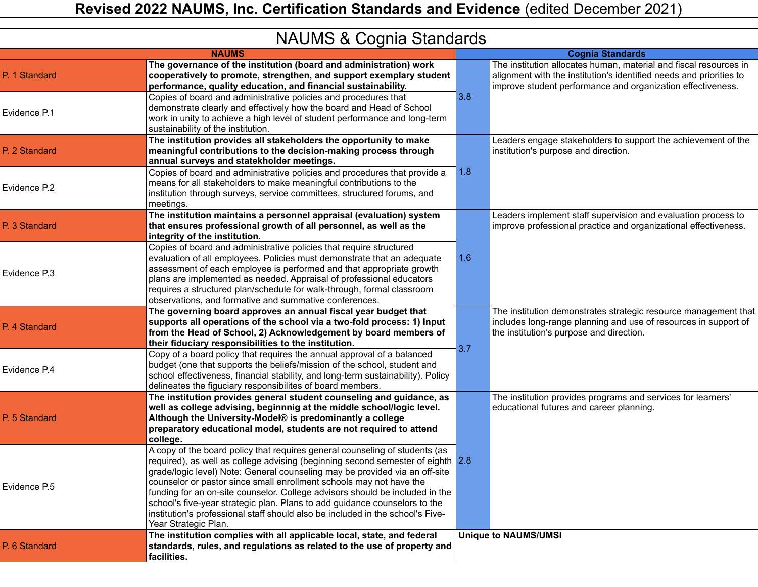|  |  |  | <b>NAUMS &amp; Cognia Standards</b> |
|--|--|--|-------------------------------------|
|--|--|--|-------------------------------------|

| $5.005$ or $5.005$ or $5.000$ |                                                                                                                                                                                                                                                                                                                                                                                                                                                                                                                                                                                              |     |                                                                                                                                                                                                         |
|-------------------------------|----------------------------------------------------------------------------------------------------------------------------------------------------------------------------------------------------------------------------------------------------------------------------------------------------------------------------------------------------------------------------------------------------------------------------------------------------------------------------------------------------------------------------------------------------------------------------------------------|-----|---------------------------------------------------------------------------------------------------------------------------------------------------------------------------------------------------------|
|                               | <b>NAUMS</b>                                                                                                                                                                                                                                                                                                                                                                                                                                                                                                                                                                                 |     | <b>Cognia Standards</b>                                                                                                                                                                                 |
| P. 1 Standard                 | The governance of the institution (board and administration) work<br>cooperatively to promote, strengthen, and support exemplary student<br>performance, quality education, and financial sustainability.                                                                                                                                                                                                                                                                                                                                                                                    |     | The institution allocates human, material and fiscal resources in<br>alignment with the institution's identified needs and priorities to<br>improve student performance and organization effectiveness. |
| Evidence P.1                  | Copies of board and administrative policies and procedures that<br>demonstrate clearly and effectively how the board and Head of School<br>work in unity to achieve a high level of student performance and long-term<br>sustainability of the institution.                                                                                                                                                                                                                                                                                                                                  | 3.8 |                                                                                                                                                                                                         |
| P. 2 Standard                 | The institution provides all stakeholders the opportunity to make<br>meaningful contributions to the decision-making process through<br>annual surveys and statekholder meetings.                                                                                                                                                                                                                                                                                                                                                                                                            |     | Leaders engage stakeholders to support the achievement of the<br>institution's purpose and direction.                                                                                                   |
| Evidence P.2                  | Copies of board and administrative policies and procedures that provide a<br>means for all stakeholders to make meaningful contributions to the<br>institution through surveys, service committees, structured forums, and<br>meetings.                                                                                                                                                                                                                                                                                                                                                      | 1.8 |                                                                                                                                                                                                         |
| P. 3 Standard                 | The institution maintains a personnel appraisal (evaluation) system<br>that ensures professional growth of all personnel, as well as the<br>integrity of the institution.                                                                                                                                                                                                                                                                                                                                                                                                                    |     | Leaders implement staff supervision and evaluation process to<br>improve professional practice and organizational effectiveness.                                                                        |
| Evidence P.3                  | Copies of board and administrative policies that require structured<br>evaluation of all employees. Policies must demonstrate that an adequate<br>assessment of each employee is performed and that appropriate growth<br>plans are implemented as needed. Appraisal of professional educators<br>requires a structured plan/schedule for walk-through, formal classroom<br>observations, and formative and summative conferences.                                                                                                                                                           | 1.6 |                                                                                                                                                                                                         |
| P. 4 Standard                 | The governing board approves an annual fiscal year budget that<br>supports all operations of the school via a two-fold process: 1) Input<br>from the Head of School, 2) Acknowledgement by board members of<br>their fiduciary responsibilities to the institution.                                                                                                                                                                                                                                                                                                                          |     | The institution demonstrates strategic resource management that<br>includes long-range planning and use of resources in support of<br>the institution's purpose and direction.                          |
| Evidence P.4                  | Copy of a board policy that requires the annual approval of a balanced<br>budget (one that supports the beliefs/mission of the school, student and<br>school effectiveness, financial stability, and long-term sustainability). Policy<br>delineates the figuciary responsibilites of board members.                                                                                                                                                                                                                                                                                         | 3.7 |                                                                                                                                                                                                         |
| P. 5 Standard                 | The institution provides general student counseling and guidance, as<br>well as college advising, beginnnig at the middle school/logic level.<br>Although the University-Model® is predominantly a college<br>preparatory educational model, students are not required to attend<br>college.                                                                                                                                                                                                                                                                                                 |     | The institution provides programs and services for learners'<br>educational futures and career planning.                                                                                                |
| Evidence P.5                  | A copy of the board policy that requires general counseling of students (as<br>required), as well as college advising (beginning second semester of eighth 2.8<br>grade/logic level) Note: General counseling may be provided via an off-site<br>counselor or pastor since small enrollment schools may not have the<br>funding for an on-site counselor. College advisors should be included in the<br>school's five-year strategic plan. Plans to add guidance counselors to the<br>institution's professional staff should also be included in the school's Five-<br>Year Strategic Plan. |     |                                                                                                                                                                                                         |
| P. 6 Standard                 | The institution complies with all applicable local, state, and federal<br>standards, rules, and regulations as related to the use of property and<br>facilities.                                                                                                                                                                                                                                                                                                                                                                                                                             |     | <b>Unique to NAUMS/UMSI</b>                                                                                                                                                                             |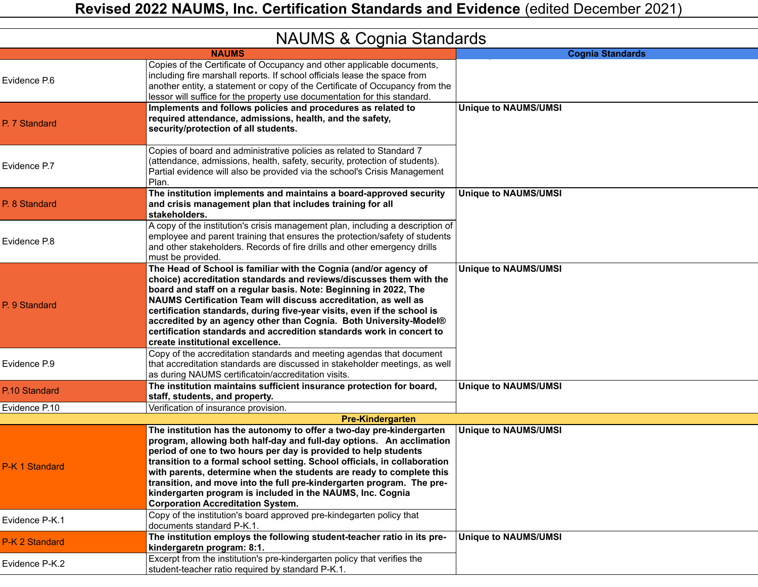| <b>INAUIVIO &amp; CUGITIA STATIUATUS</b> |                                                                                                                                                                                                                                                                                                                                                                                                                                                                                                                                                         |                             |  |
|------------------------------------------|---------------------------------------------------------------------------------------------------------------------------------------------------------------------------------------------------------------------------------------------------------------------------------------------------------------------------------------------------------------------------------------------------------------------------------------------------------------------------------------------------------------------------------------------------------|-----------------------------|--|
|                                          | <b>NAUMS</b>                                                                                                                                                                                                                                                                                                                                                                                                                                                                                                                                            | <b>Cognia Standards</b>     |  |
| Evidence P.6                             | Copies of the Certificate of Occupancy and other applicable documents,<br>including fire marshall reports. If school officials lease the space from<br>another entity, a statement or copy of the Certificate of Occupancy from the<br>lessor will suffice for the property use documentation for this standard.                                                                                                                                                                                                                                        |                             |  |
| P. 7 Standard                            | Implements and follows policies and procedures as related to<br>required attendance, admissions, health, and the safety,<br>security/protection of all students.                                                                                                                                                                                                                                                                                                                                                                                        | <b>Unique to NAUMS/UMSI</b> |  |
| Evidence P.7                             | Copies of board and administrative policies as related to Standard 7<br>(attendance, admissions, health, safety, security, protection of students).<br>Partial evidence will also be provided via the school's Crisis Management<br>Plan.                                                                                                                                                                                                                                                                                                               |                             |  |
| P. 8 Standard                            | The institution implements and maintains a board-approved security<br>and crisis management plan that includes training for all<br>stakeholders.                                                                                                                                                                                                                                                                                                                                                                                                        | <b>Unique to NAUMS/UMSI</b> |  |
| Evidence P.8                             | A copy of the institution's crisis management plan, including a description of<br>employee and parent training that ensures the protection/safety of students<br>and other stakeholders. Records of fire drills and other emergency drills<br>must be provided.                                                                                                                                                                                                                                                                                         |                             |  |
| P. 9 Standard                            | The Head of School is familiar with the Cognia (and/or agency of<br>choice) accreditation standards and reviews/discusses them with the<br>board and staff on a regular basis. Note: Beginning in 2022, The<br>NAUMS Certification Team will discuss accreditation, as well as<br>certification standards, during five-year visits, even if the school is<br>accredited by an agency other than Cognia. Both University-Model®<br>certification standards and accredition standards work in concert to<br>create institutional excellence.              | <b>Unique to NAUMS/UMSI</b> |  |
| Evidence P.9                             | Copy of the accreditation standards and meeting agendas that document<br>that accreditation standards are discussed in stakeholder meetings, as well<br>as during NAUMS certificatoin/accreditation visits.                                                                                                                                                                                                                                                                                                                                             |                             |  |
| P.10 Standard                            | The institution maintains sufficient insurance protection for board,<br>staff, students, and property.                                                                                                                                                                                                                                                                                                                                                                                                                                                  | <b>Unique to NAUMS/UMSI</b> |  |
| Evidence P.10                            | Verification of insurance provision.                                                                                                                                                                                                                                                                                                                                                                                                                                                                                                                    |                             |  |
|                                          | <b>Pre-Kindergarten</b>                                                                                                                                                                                                                                                                                                                                                                                                                                                                                                                                 |                             |  |
| P-K 1 Standard                           | The institution has the autonomy to offer a two-day pre-kindergarten<br>program, allowing both half-day and full-day options. An acclimation<br>period of one to two hours per day is provided to help students<br>transition to a formal school setting. School officials, in collaboration<br>with parents, determine when the students are ready to complete this<br>transition, and move into the full pre-kindergarten program. The pre-<br>kindergarten program is included in the NAUMS, Inc. Cognia<br><b>Corporation Accreditation System.</b> | <b>Unique to NAUMS/UMSI</b> |  |
| Evidence P-K.1                           | Copy of the institution's board approved pre-kindegarten policy that<br>documents standard P-K.1.                                                                                                                                                                                                                                                                                                                                                                                                                                                       |                             |  |
| P-K 2 Standard                           | The institution employs the following student-teacher ratio in its pre-<br>kindergaretn program: 8:1.                                                                                                                                                                                                                                                                                                                                                                                                                                                   | <b>Unique to NAUMS/UMSI</b> |  |
| Evidence P-K.2                           | Excerpt from the institution's pre-kindergarten policy that verifies the<br>student-teacher ratio required by standard P-K.1.                                                                                                                                                                                                                                                                                                                                                                                                                           |                             |  |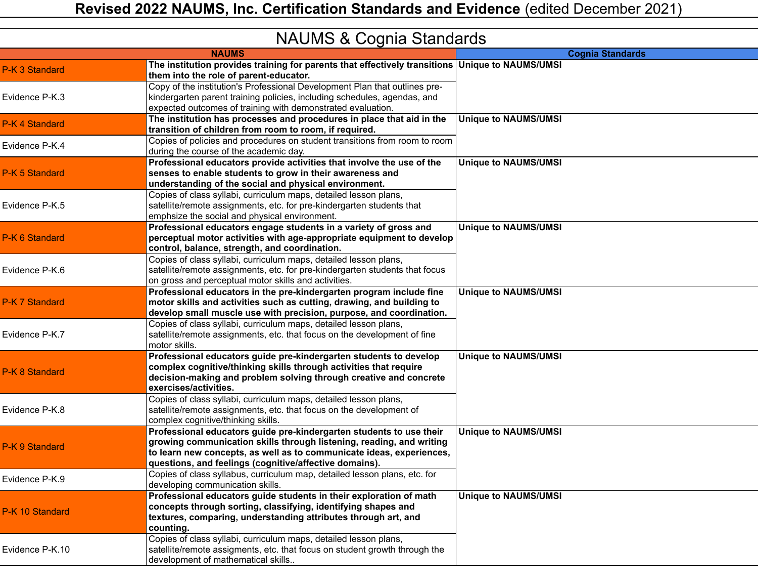|                 | iv tonio & oognia olahudi us                                                                                                                                                                                                                                                  |                             |
|-----------------|-------------------------------------------------------------------------------------------------------------------------------------------------------------------------------------------------------------------------------------------------------------------------------|-----------------------------|
|                 | <b>NAUMS</b>                                                                                                                                                                                                                                                                  | <b>Cognia Standards</b>     |
| P-K 3 Standard  | The institution provides training for parents that effectively transitions Unique to NAUMS/UMSI<br>them into the role of parent-educator.                                                                                                                                     |                             |
| Evidence P-K.3  | Copy of the institution's Professional Development Plan that outlines pre-<br>kindergarten parent training policies, including schedules, agendas, and<br>expected outcomes of training with demonstrated evaluation.                                                         |                             |
| P-K 4 Standard  | The institution has processes and procedures in place that aid in the<br>transition of children from room to room, if required.                                                                                                                                               | <b>Unique to NAUMS/UMSI</b> |
| Evidence P-K.4  | Copies of policies and procedures on student transitions from room to room<br>during the course of the academic day.                                                                                                                                                          |                             |
| P-K 5 Standard  | Professional educators provide activities that involve the use of the<br>senses to enable students to grow in their awareness and<br>understanding of the social and physical environment.                                                                                    | <b>Unique to NAUMS/UMSI</b> |
| Evidence P-K.5  | Copies of class syllabi, curriculum maps, detailed lesson plans,<br>satellite/remote assignments, etc. for pre-kindergarten students that<br>emphsize the social and physical environment.                                                                                    |                             |
| P-K 6 Standard  | Professional educators engage students in a variety of gross and<br>perceptual motor activities with age-appropriate equipment to develop<br>control, balance, strength, and coordination.                                                                                    | <b>Unique to NAUMS/UMSI</b> |
| Evidence P-K.6  | Copies of class syllabi, curriculum maps, detailed lesson plans,<br>satellite/remote assignments, etc. for pre-kindergarten students that focus<br>on gross and perceptual motor skills and activities.                                                                       |                             |
| P-K 7 Standard  | Professional educators in the pre-kindergarten program include fine<br>motor skills and activities such as cutting, drawing, and building to<br>develop small muscle use with precision, purpose, and coordination.                                                           | <b>Unique to NAUMS/UMSI</b> |
| Evidence P-K.7  | Copies of class syllabi, curriculum maps, detailed lesson plans,<br>satellite/remote assignments, etc. that focus on the development of fine<br>motor skills.                                                                                                                 |                             |
| P-K 8 Standard  | Professional educators guide pre-kindergarten students to develop<br>complex cognitive/thinking skills through activities that require<br>decision-making and problem solving through creative and concrete<br>exercises/activities.                                          | <b>Unique to NAUMS/UMSI</b> |
| Evidence P-K.8  | Copies of class syllabi, curriculum maps, detailed lesson plans,<br>satellite/remote assignments, etc. that focus on the development of<br>complex cognitive/thinking skills.                                                                                                 |                             |
| P-K 9 Standard  | Professional educators guide pre-kindergarten students to use their<br>growing communication skills through listening, reading, and writing<br>to learn new concepts, as well as to communicate ideas, experiences,<br>questions, and feelings (cognitive/affective domains). | <b>Unique to NAUMS/UMSI</b> |
| Evidence P-K.9  | Copies of class syllabus, curriculum map, detailed lesson plans, etc. for<br>developing communication skills.                                                                                                                                                                 |                             |
| P-K 10 Standard | Professional educators guide students in their exploration of math<br>concepts through sorting, classifying, identifying shapes and<br>textures, comparing, understanding attributes through art, and<br>counting.                                                            | <b>Unique to NAUMS/UMSI</b> |
| Evidence P-K.10 | Copies of class syllabi, curriculum maps, detailed lesson plans,<br>satellite/remote assigments, etc. that focus on student growth through the<br>development of mathematical skills                                                                                          |                             |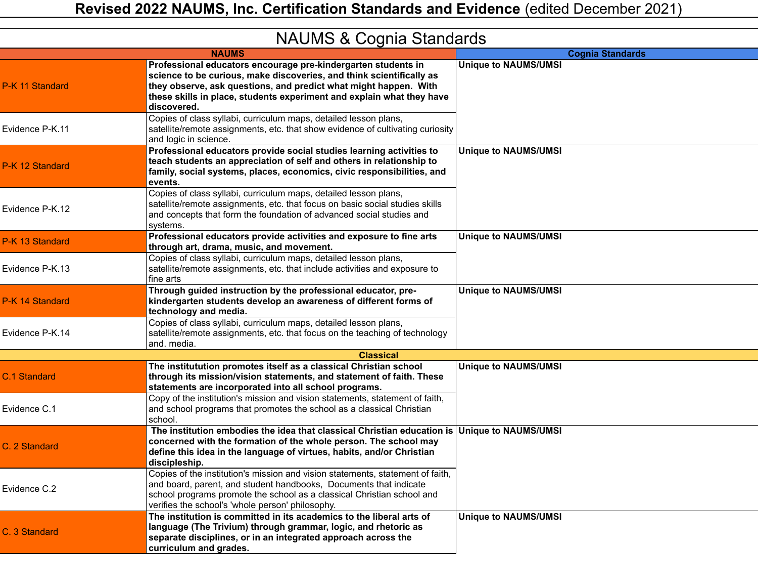|                 | iv tonio a obgrila olahadias                                                                                                                                                                                                                                                                      |                             |
|-----------------|---------------------------------------------------------------------------------------------------------------------------------------------------------------------------------------------------------------------------------------------------------------------------------------------------|-----------------------------|
|                 | <b>NAUMS</b>                                                                                                                                                                                                                                                                                      | <b>Cognia Standards</b>     |
| P-K 11 Standard | Professional educators encourage pre-kindergarten students in<br>science to be curious, make discoveries, and think scientifically as<br>they observe, ask questions, and predict what might happen. With<br>these skills in place, students experiment and explain what they have<br>discovered. | <b>Unique to NAUMS/UMSI</b> |
| Evidence P-K.11 | Copies of class syllabi, curriculum maps, detailed lesson plans,<br>satellite/remote assignments, etc. that show evidence of cultivating curiosity<br>and logic in science.                                                                                                                       |                             |
| P-K 12 Standard | Professional educators provide social studies learning activities to<br>teach students an appreciation of self and others in relationship to<br>family, social systems, places, economics, civic responsibilities, and<br>events.                                                                 | <b>Unique to NAUMS/UMSI</b> |
| Evidence P-K.12 | Copies of class syllabi, curriculum maps, detailed lesson plans,<br>satellite/remote assignments, etc. that focus on basic social studies skills<br>and concepts that form the foundation of advanced social studies and<br>systems.                                                              |                             |
| P-K 13 Standard | Professional educators provide activities and exposure to fine arts<br>through art, drama, music, and movement.                                                                                                                                                                                   | <b>Unique to NAUMS/UMSI</b> |
| Evidence P-K.13 | Copies of class syllabi, curriculum maps, detailed lesson plans,<br>satellite/remote assignments, etc. that include activities and exposure to<br>fine arts                                                                                                                                       |                             |
| P-K 14 Standard | Through guided instruction by the professional educator, pre-<br>kindergarten students develop an awareness of different forms of<br>technology and media.                                                                                                                                        | <b>Unique to NAUMS/UMSI</b> |
| Evidence P-K.14 | Copies of class syllabi, curriculum maps, detailed lesson plans,<br>satellite/remote assignments, etc. that focus on the teaching of technology<br>and. media.                                                                                                                                    |                             |
|                 | <b>Classical</b>                                                                                                                                                                                                                                                                                  |                             |
| C.1 Standard    | The institutution promotes itself as a classical Christian school<br>through its mission/vision statements, and statement of faith. These<br>statements are incorporated into all school programs.                                                                                                | <b>Unique to NAUMS/UMSI</b> |
| Evidence C.1    | Copy of the institution's mission and vision statements, statement of faith,<br>and school programs that promotes the school as a classical Christian<br>school.                                                                                                                                  |                             |
| C. 2 Standard   | The institution embodies the idea that classical Christian education is Unique to NAUMS/UMSI<br>concerned with the formation of the whole person. The school may<br>define this idea in the language of virtues, habits, and/or Christian<br>discipleship.                                        |                             |
| Evidence C.2    | Copies of the institution's mission and vision statements, statement of faith,<br>and board, parent, and student handbooks, Documents that indicate<br>school programs promote the school as a classical Christian school and<br>verifies the school's 'whole person' philosophy.                 |                             |
| C. 3 Standard   | The institution is committed in its academics to the liberal arts of<br>language (The Trivium) through grammar, logic, and rhetoric as<br>separate disciplines, or in an integrated approach across the<br>curriculum and grades.                                                                 | <b>Unique to NAUMS/UMSI</b> |
|                 |                                                                                                                                                                                                                                                                                                   |                             |